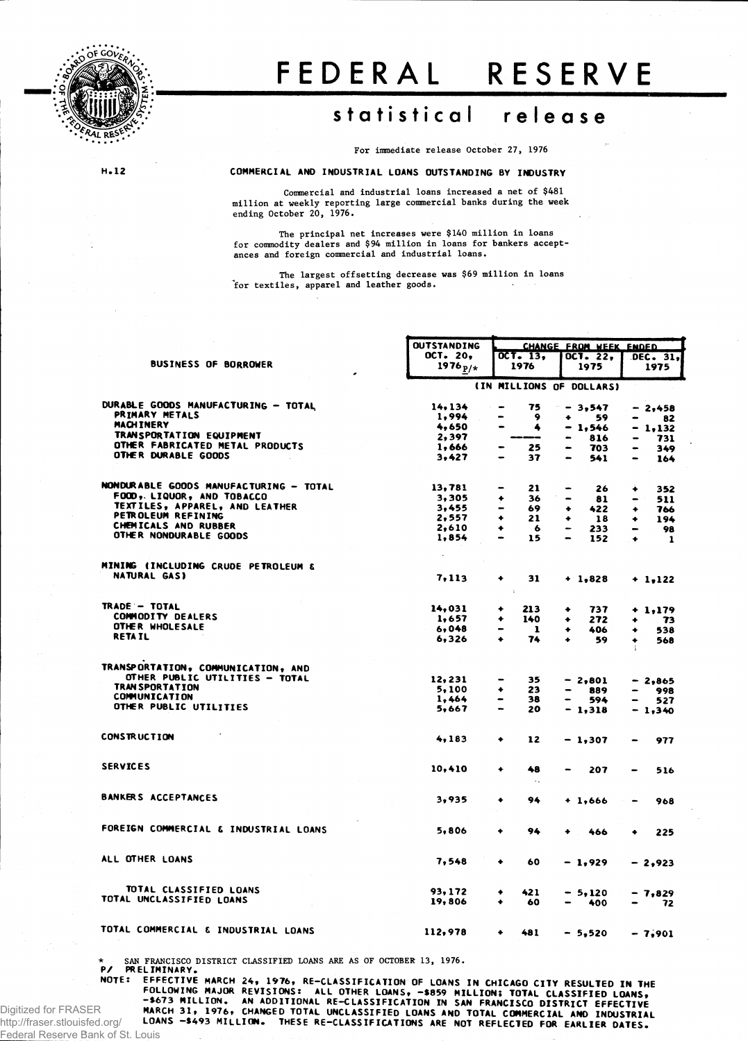

 $H.12$ 

## FEDERAL RESERVE

## statistical release

For immediate release October 27, 1976

COMMERCIAL AND INDUSTRIAL LOANS OUTSTANDING BY INDUSTRY

Commercial and industrial loans increased a net of \$481 million at weekly reporting large commercial banks during the week ending October 20, 1976.

The principal net increases were \$140 million in loans of commodity dealers and \$94 million in loans for bankers accept-<br>ances and foreign commercial and industrial loans.

The largest offsetting decrease was \$69 million in loans for textiles, apparel and leather goods.

|                                        | <b>OUTSTANDING</b> |                               | <b>CHANGE FROM WEEK ENDED</b>    |                |                          |   |            |  |  |
|----------------------------------------|--------------------|-------------------------------|----------------------------------|----------------|--------------------------|---|------------|--|--|
|                                        | OCT. 20,           |                               | $OCT - 13$                       |                | <b>OCT. 22,</b>          |   | DEC. 31.   |  |  |
| <b>BUSINESS OF BORROWER</b>            | 1976 $p/*$         |                               | 1976                             |                | 1975                     |   | 1975       |  |  |
|                                        |                    |                               |                                  |                | (IN MILLIONS OF DOLLARS) |   |            |  |  |
| DURABLE GOODS MANUFACTURING - TOTAL    | 14.134             | $\hbox{ }$                    | 75                               |                | $-3,547$                 |   | $-2,458$   |  |  |
| PRIMARY METALS                         | 1,994              | -                             | 9                                | ۰              | 59                       |   | 82         |  |  |
| <b>MACHINERY</b>                       | 4,650              | $\bullet$                     | 4                                |                | - 1,546                  |   | - 1.132    |  |  |
| TRANSPORTATION EQUIPMENT               | 2,397              |                               | -                                | $\blacksquare$ | 816                      |   | 731        |  |  |
| OTHER FABRICATED METAL PRODUCTS        | 1,666              | -                             | 25                               | -              | 703                      |   | 349        |  |  |
| OTHER DURABLE GOODS                    | 3,427              | -                             | 37                               | $\equiv$       | 541                      |   | 164        |  |  |
| NONDURABLE GOODS MANUFACTURING - TOTAL | 13,781             | $\qquad \qquad \blacksquare$  | 21                               | -              | 26                       | ۰ |            |  |  |
| FOOD, LIQUOR, AND TOBACCO              | 3,305              | ۰                             | 36                               |                | 81                       |   | 352        |  |  |
| TEXTILES, APPAREL, AND LEATHER         | 3,455              | -                             | 69                               | ٠              | 422                      | ٠ | 511        |  |  |
| PETROLEUM REFINING                     | 2,557              | ٠                             | 21                               | ۰              | 18                       |   | 766        |  |  |
| CHEMICALS AND RUBBER                   | 2,610              | ۰                             | -6                               | -              | 233                      | ٠ | 194<br>98  |  |  |
| OTHER NONDURABLE GOODS                 | 1,854              | $\bullet$                     | 15                               | $\blacksquare$ | 152                      | ٠ | 1          |  |  |
|                                        |                    |                               |                                  |                |                          |   |            |  |  |
| MINING (INCLUDING CRUDE PETROLEUM &    |                    |                               |                                  |                |                          |   |            |  |  |
| NATURAL GAS)                           | 7,113              | ۰                             | 31<br>Ÿ.                         |                | $+ 1.828$                |   | $+ 1.122$  |  |  |
| TRADE - TOTAL                          | 14,031             | ۰                             | 213                              | ٠              | 737                      |   |            |  |  |
| <b>COMMODITY DEALERS</b>               | 1,657              |                               | 140                              |                |                          |   | $+ 1, 179$ |  |  |
| OTHER WHOLESALE                        | 6,048              | ٠<br>$\overline{\phantom{0}}$ |                                  | ۰              | 272                      | ٠ | 73         |  |  |
| <b>RETAIL</b>                          | 6,326              | ۰                             | -1<br>74                         | ٠<br>۰         | 406                      | ٠ | 538        |  |  |
|                                        |                    |                               |                                  |                | 59                       | ٠ | 568        |  |  |
| TRANSPORTATION, COMMUNICATION, AND     |                    |                               |                                  |                |                          |   |            |  |  |
| OTHER PUBLIC UTILITIES - TOTAL         | 12,231             |                               | 35                               |                | $-2,801$                 |   | $-2,865$   |  |  |
| <b>TRAN SPORTATION</b>                 | 5,100              | ۰                             | 23                               |                | 889                      |   | 998        |  |  |
| <b>COMMUNICATION</b>                   | 1,464              | -                             | 38                               |                | 594                      |   | 527        |  |  |
| OTHER PUBLIC UTILITIES                 | 5,667              | $\overline{\phantom{0}}$      | 20                               |                | - 1,318                  |   | $-1,340$   |  |  |
| <b>CONSTRUCTION</b>                    | 4,183              | ۰                             | 12                               |                | $-1,307$                 |   | 977        |  |  |
|                                        |                    |                               |                                  |                |                          |   |            |  |  |
| <b>SERVICES</b>                        | 10,410             | ۰                             | 48<br>$\mathcal{N}_{\mathbf{A}}$ |                | 207                      |   | 516        |  |  |
| <b>BANKERS ACCEPTANCES</b>             | 3,935              | ٠                             | 94                               |                | $+1,666$                 | - | 968        |  |  |
| FOREIGN COMMERCIAL & INDUSTRIAL LOANS  | 5,806              | ۰                             | 94                               | ٠              | 466                      |   | 225        |  |  |
| ALL OTHER LOANS                        | 7,548              | ٠                             | 60                               |                | $-1,929$                 |   | - 2,923    |  |  |
|                                        |                    |                               |                                  |                |                          |   |            |  |  |
| TOTAL CLASSIFIED LOANS                 | 93, 172            | ۰                             | 421                              |                | - 5,120                  |   | - 7,829    |  |  |
| TOTAL UNCLASSIFIED LOANS               | 19,806             | ۰                             | 60                               |                | 400                      |   | 72         |  |  |
| TOTAL COMMERCIAL & INDUSTRIAL LOANS    | 112,978            | ۰                             | 481                              |                | - 5.520                  |   | $-7.901$   |  |  |
|                                        |                    |                               |                                  |                |                          |   |            |  |  |

\* SAN FRANCISCO DISTRICT CLASSIFIED LOANS ARE AS OF OCTOBER 13, 1976.

P/ PRELIMINARY.<br>NOTE: EFFECTIVE MARCH 24, 1976, RE-CLASSIFICATION OF LOANS IN CHICAGO CITY RESULTED IN THE<br>FOLLOWING MAJOR REVISIONS: ALL OTHER LOANS, -\$859 MILLION; TOTAL CLASSIFIED LOANS,<br>-\$673 MILLION. AN ADDITIONAL RE-

http://fraser.stlouisfed.org/ Federal Reserve Bank of St.

Digitized for FRASER

Louis